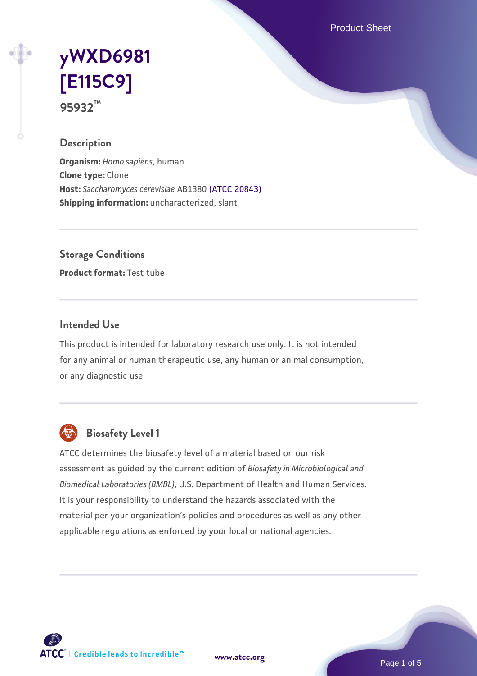Product Sheet

# **[yWXD6981](https://www.atcc.org/products/95932) [\[E115C9\]](https://www.atcc.org/products/95932) 95932™**

## **Description**

**Organism:** *Homo sapiens*, human **Clone type:** Clone **Host:** *Saccharomyces cerevisiae* AB1380 [\(ATCC 20843\)](https://www.atcc.org/products/20843) **Shipping information:** uncharacterized, slant

**Storage Conditions**

**Product format:** Test tube

### **Intended Use**

This product is intended for laboratory research use only. It is not intended for any animal or human therapeutic use, any human or animal consumption, or any diagnostic use.



## **Biosafety Level 1**

ATCC determines the biosafety level of a material based on our risk assessment as guided by the current edition of *Biosafety in Microbiological and Biomedical Laboratories (BMBL)*, U.S. Department of Health and Human Services. It is your responsibility to understand the hazards associated with the material per your organization's policies and procedures as well as any other applicable regulations as enforced by your local or national agencies.

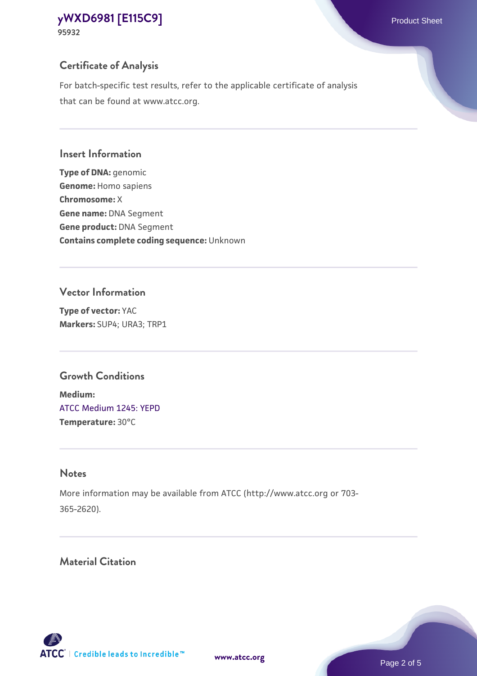## **Certificate of Analysis**

For batch-specific test results, refer to the applicable certificate of analysis that can be found at www.atcc.org.

#### **Insert Information**

**Type of DNA:** genomic **Genome:** Homo sapiens **Chromosome:** X **Gene name:** DNA Segment **Gene product:** DNA Segment **Contains complete coding sequence:** Unknown

### **Vector Information**

**Type of vector:** YAC **Markers:** SUP4; URA3; TRP1

## **Growth Conditions**

**Medium:**  [ATCC Medium 1245: YEPD](https://www.atcc.org/-/media/product-assets/documents/microbial-media-formulations/1/2/4/5/atcc-medium-1245.pdf?rev=705ca55d1b6f490a808a965d5c072196) **Temperature:** 30°C

## **Notes**

More information may be available from ATCC (http://www.atcc.org or 703- 365-2620).

## **Material Citation**

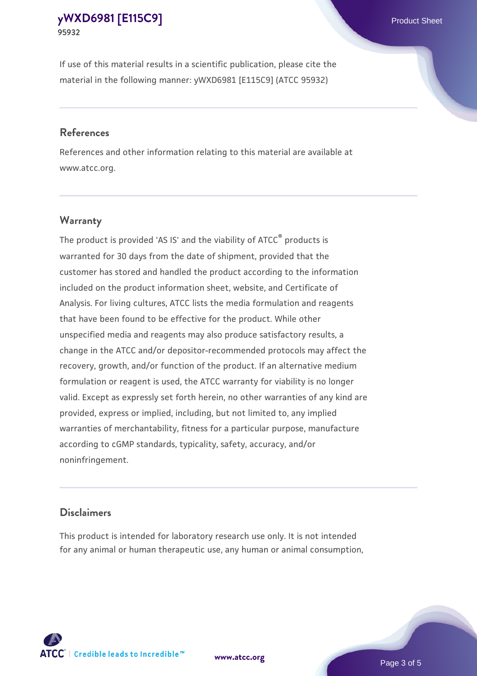If use of this material results in a scientific publication, please cite the material in the following manner: yWXD6981 [E115C9] (ATCC 95932)

#### **References**

References and other information relating to this material are available at www.atcc.org.

## **Warranty**

The product is provided 'AS IS' and the viability of  $ATCC<sup>®</sup>$  products is warranted for 30 days from the date of shipment, provided that the customer has stored and handled the product according to the information included on the product information sheet, website, and Certificate of Analysis. For living cultures, ATCC lists the media formulation and reagents that have been found to be effective for the product. While other unspecified media and reagents may also produce satisfactory results, a change in the ATCC and/or depositor-recommended protocols may affect the recovery, growth, and/or function of the product. If an alternative medium formulation or reagent is used, the ATCC warranty for viability is no longer valid. Except as expressly set forth herein, no other warranties of any kind are provided, express or implied, including, but not limited to, any implied warranties of merchantability, fitness for a particular purpose, manufacture according to cGMP standards, typicality, safety, accuracy, and/or noninfringement.

#### **Disclaimers**

This product is intended for laboratory research use only. It is not intended for any animal or human therapeutic use, any human or animal consumption,





Page 3 of 5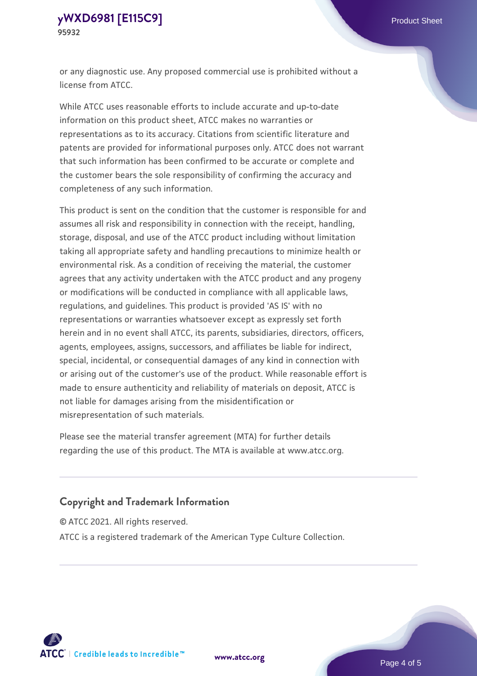or any diagnostic use. Any proposed commercial use is prohibited without a license from ATCC.

While ATCC uses reasonable efforts to include accurate and up-to-date information on this product sheet, ATCC makes no warranties or representations as to its accuracy. Citations from scientific literature and patents are provided for informational purposes only. ATCC does not warrant that such information has been confirmed to be accurate or complete and the customer bears the sole responsibility of confirming the accuracy and completeness of any such information.

This product is sent on the condition that the customer is responsible for and assumes all risk and responsibility in connection with the receipt, handling, storage, disposal, and use of the ATCC product including without limitation taking all appropriate safety and handling precautions to minimize health or environmental risk. As a condition of receiving the material, the customer agrees that any activity undertaken with the ATCC product and any progeny or modifications will be conducted in compliance with all applicable laws, regulations, and guidelines. This product is provided 'AS IS' with no representations or warranties whatsoever except as expressly set forth herein and in no event shall ATCC, its parents, subsidiaries, directors, officers, agents, employees, assigns, successors, and affiliates be liable for indirect, special, incidental, or consequential damages of any kind in connection with or arising out of the customer's use of the product. While reasonable effort is made to ensure authenticity and reliability of materials on deposit, ATCC is not liable for damages arising from the misidentification or misrepresentation of such materials.

Please see the material transfer agreement (MTA) for further details regarding the use of this product. The MTA is available at www.atcc.org.

## **Copyright and Trademark Information**

© ATCC 2021. All rights reserved.

ATCC is a registered trademark of the American Type Culture Collection.



**[www.atcc.org](http://www.atcc.org)**

Page 4 of 5